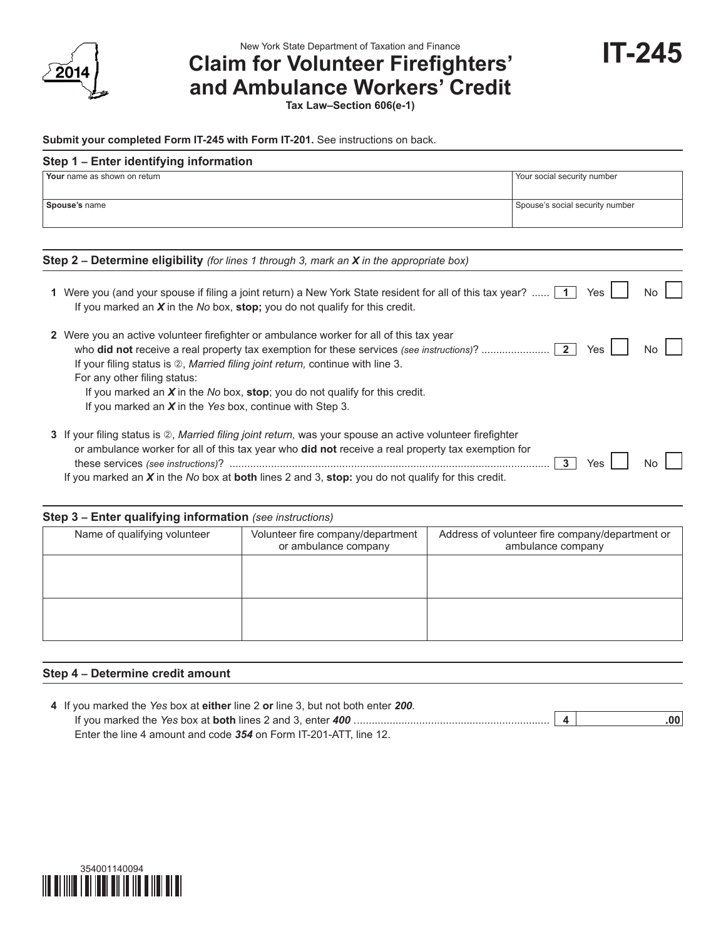

**IT-245** New York State Department of Taxation and Finance<br>**Claim for Volunteer Firefighters' and Ambulance Workers' Credit**

**Tax Law–Section 606(e-1)**

#### **Submit your completed Form IT-245 with Form IT-201.** See instructions on back.

#### **Step 1 – Enter identifying information**

| Your name as shown on return                                                                              | Your social security number     |
|-----------------------------------------------------------------------------------------------------------|---------------------------------|
| Spouse's name                                                                                             | Spouse's social security number |
|                                                                                                           |                                 |
| <b>Step 2 – Determine eligibility</b> (for lines 1 through 3, mark an <b>X</b> in the appropriate box)    |                                 |
| 1 Were you (and your spouse if filing a joint return) a New York State resident for all of this tax year? | Yes<br>No                       |

If you marked an *X* in the *No* box, **stop;** you do not qualify for this credit.

| 2 Were you an active volunteer firefighter or ambulance worker for all of this tax year         |       |
|-------------------------------------------------------------------------------------------------|-------|
| Yes                                                                                             | No II |
| If your filing status is $\oslash$ . <i>Married filing joint return</i> , continue with line 3. |       |
| For any other filing status:                                                                    |       |
| If you marked an $X$ in the No box, stop; you do not qualify for this credit.                   |       |
| If you marked an $X$ in the Yes box, continue with Step 3.                                      |       |
|                                                                                                 |       |

**3** If your filing status is  $\oslash$ , *Married filing joint return*, was your spouse an active volunteer firefighter or ambulance worker for all of this tax year who **did not** receive a real property tax exemption for these services *(see instructions)*? ............................................................................................................ **3** Yes No If you marked an *X* in the *No* box at **both** lines 2 and 3, **stop:** you do not qualify for this credit.

#### **Step 3 – Enter qualifying information** *(see instructions)*

| Name of qualifying volunteer | Volunteer fire company/department<br>or ambulance company | Address of volunteer fire company/department or<br>ambulance company |  |  |  |  |  |  |
|------------------------------|-----------------------------------------------------------|----------------------------------------------------------------------|--|--|--|--|--|--|
|                              |                                                           |                                                                      |  |  |  |  |  |  |
|                              |                                                           |                                                                      |  |  |  |  |  |  |
|                              |                                                           |                                                                      |  |  |  |  |  |  |

#### **Step 4 – Determine credit amount**

| 4 If you marked the Yes box at either line 2 or line 3, but not both enter 200. |  |                  |
|---------------------------------------------------------------------------------|--|------------------|
|                                                                                 |  | .00 <sub>1</sub> |
| Enter the line 4 amount and code 354 on Form IT-201-ATT. line 12.               |  |                  |